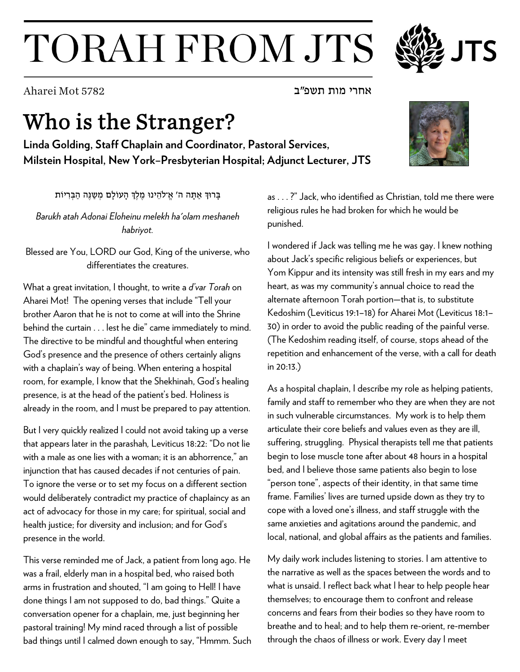## TORAH FROM JTS

אחרי מות תשפ"ב 5782 Mot Aharei

## Who is the Stranger?

**Linda Golding, Staff Chaplain and Coordinator, Pastoral Services, Milstein Hospital, New York–Presbyterian Hospital; Adjunct Lecturer, JTS**

בָרוּךְ אַתַּה ה' אֱ־לֹהֶינוּ מֶלֶךְ הַעוֹלָם מְשַׁנֵּה הַבְּרִיוֹת

*Barukh atah Adonai Eloheinu melekh ha'olam meshaneh habriyot.*

Blessed are You, LORD our God, King of the universe, who differentiates the creatures.

What a great invitation, I thought, to write a *d'var Torah* on Aharei Mot! The opening verses that include "Tell your brother Aaron that he is not to come at will into the Shrine behind the curtain . . . lest he die" came immediately to mind. The directive to be mindful and thoughtful when entering God's presence and the presence of others certainly aligns with a chaplain's way of being. When entering a hospital room, for example, I know that the Shekhinah, God's healing presence, is at the head of the patient's bed. Holiness is already in the room, and I must be prepared to pay attention.

But I very quickly realized I could not avoid taking up a verse that appears later in the parashah*,* Leviticus 18:22: "Do not lie with a male as one lies with a woman; it is an abhorrence," an injunction that has caused decades if not centuries of pain. To ignore the verse or to set my focus on a different section would deliberately contradict my practice of chaplaincy as an act of advocacy for those in my care; for spiritual, social and health justice; for diversity and inclusion; and for God's presence in the world.

This verse reminded me of Jack, a patient from long ago. He was a frail, elderly man in a hospital bed, who raised both arms in frustration and shouted, "I am going to Hell! I have done things I am not supposed to do, bad things." Quite a conversation opener for a chaplain, me, just beginning her pastoral training! My mind raced through a list of possible bad things until I calmed down enough to say, "Hmmm. Such as . . . ?" Jack, who identified as Christian, told me there were religious rules he had broken for which he would be punished.

I wondered if Jack was telling me he was gay. I knew nothing about Jack's specific religious beliefs or experiences, but Yom Kippur and its intensity was still fresh in my ears and my heart, as was my community's annual choice to read the alternate afternoon Torah portion—that is, to substitute Kedoshim (Leviticus 19:1–18) for Aharei Mot (Leviticus 18:1– 30) in order to avoid the public reading of the painful verse. (The Kedoshim reading itself, of course, stops ahead of the repetition and enhancement of the verse, with a call for death in 20:13.)

As a hospital chaplain, I describe my role as helping patients, family and staff to remember who they are when they are not in such vulnerable circumstances. My work is to help them articulate their core beliefs and values even as they are ill, suffering, struggling. Physical therapists tell me that patients begin to lose muscle tone after about 48 hours in a hospital bed, and I believe those same patients also begin to lose "person tone", aspects of their identity, in that same time frame. Families' lives are turned upside down as they try to cope with a loved one's illness, and staff struggle with the same anxieties and agitations around the pandemic, and local, national, and global affairs as the patients and families.

My daily work includes listening to stories. I am attentive to the narrative as well as the spaces between the words and to what is unsaid. I reflect back what I hear to help people hear themselves; to encourage them to confront and release concerns and fears from their bodies so they have room to breathe and to heal; and to help them re-orient, re-member through the chaos of illness or work. Every day I meet